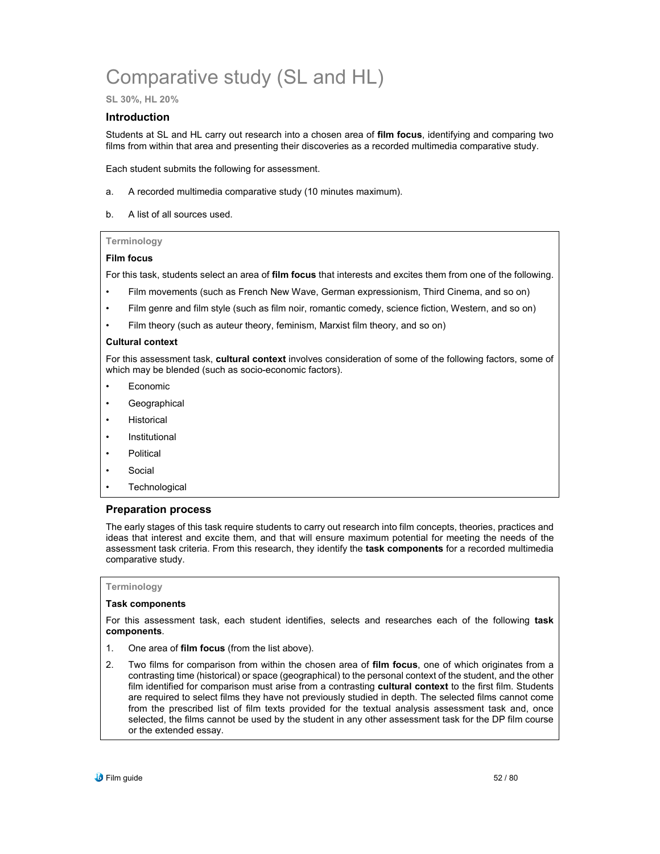# Comparative study (SL and HL)

**SL 30%, HL 20%**

#### **Introduction**

Students at SL and HL carry out research into a chosen area of **film focus**, identifying and comparing two films from within that area and presenting their discoveries as a recorded multimedia comparative study.

Each student submits the following for assessment.

- a. A recorded multimedia comparative study (10 minutes maximum).
- b. A list of all sources used.

#### **Terminology**

#### **Film focus**

For this task, students select an area of **film focus** that interests and excites them from one of the following.

- Film movements (such as French New Wave, German expressionism, Third Cinema, and so on)
- Film genre and film style (such as film noir, romantic comedy, science fiction, Western, and so on)
- Film theory (such as auteur theory, feminism, Marxist film theory, and so on)

#### **Cultural context**

For this assessment task, **cultural context** involves consideration of some of the following factors, some of which may be blended (such as socio-economic factors).

- **Economic**
- **Geographical**
- **Historical**
- **Institutional**
- Political
- Social
- **Technological**

#### **Preparation process**

The early stages of this task require students to carry out research into film concepts, theories, practices and ideas that interest and excite them, and that will ensure maximum potential for meeting the needs of the assessment task criteria. From this research, they identify the **task components** for a recorded multimedia comparative study.

#### **Terminology**

#### **Task components**

For this assessment task, each student identifies, selects and researches each of the following **task components**.

- 1. One area of **film focus** (from the list above).
- 2. Two films for comparison from within the chosen area of **film focus**, one of which originates from a contrasting time (historical) or space (geographical) to the personal context of the student, and the other film identified for comparison must arise from a contrasting **cultural context** to the first film. Students are required to select films they have not previously studied in depth. The selected films cannot come from the prescribed list of film texts provided for the textual analysis assessment task and, once selected, the films cannot be used by the student in any other assessment task for the DP film course or the extended essay.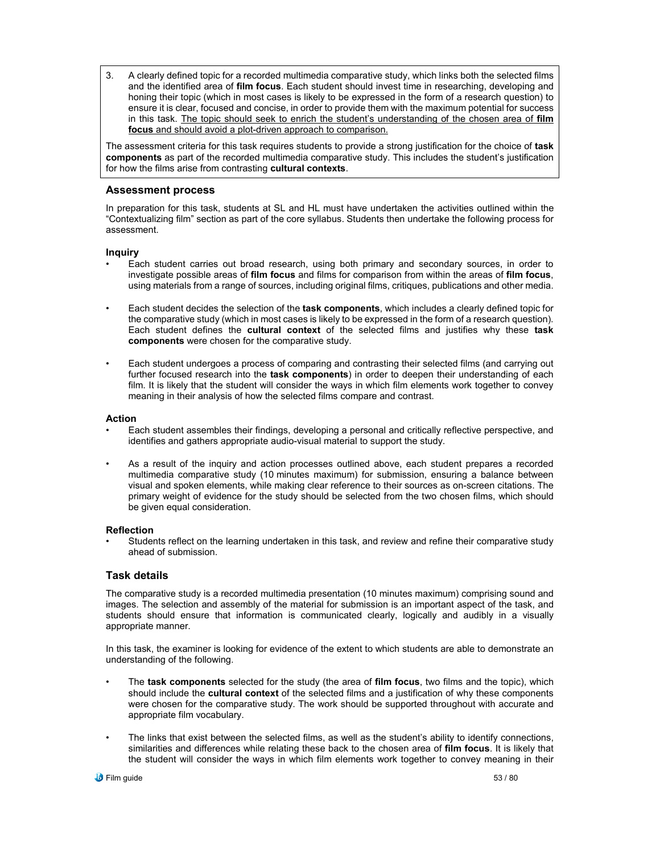3. A clearly defined topic for a recorded multimedia comparative study, which links both the selected films and the identified area of **film focus**. Each student should invest time in researching, developing and honing their topic (which in most cases is likely to be expressed in the form of a research question) to ensure it is clear, focused and concise, in order to provide them with the maximum potential for success in this task. The topic should seek to enrich the student's understanding of the chosen area of **film focus** and should avoid a plot-driven approach to comparison.

The assessment criteria for this task requires students to provide a strong justification for the choice of **task components** as part of the recorded multimedia comparative study. This includes the student's justification for how the films arise from contrasting **cultural contexts**.

#### **Assessment process**

In preparation for this task, students at SL and HL must have undertaken the activities outlined within the "Contextualizing film" section as part of the core syllabus. Students then undertake the following process for assessment.

#### **Inquiry**

- Each student carries out broad research, using both primary and secondary sources, in order to investigate possible areas of **film focus** and films for comparison from within the areas of **film focus**, using materials from a range of sources, including original films, critiques, publications and other media.
- Each student decides the selection of the **task components**, which includes a clearly defined topic for the comparative study (which in most cases is likely to be expressed in the form of a research question). Each student defines the **cultural context** of the selected films and justifies why these **task components** were chosen for the comparative study.
- Each student undergoes a process of comparing and contrasting their selected films (and carrying out further focused research into the **task components**) in order to deepen their understanding of each film. It is likely that the student will consider the ways in which film elements work together to convey meaning in their analysis of how the selected films compare and contrast.

#### **Action**

- Each student assembles their findings, developing a personal and critically reflective perspective, and identifies and gathers appropriate audio-visual material to support the study.
- As a result of the inquiry and action processes outlined above, each student prepares a recorded multimedia comparative study (10 minutes maximum) for submission, ensuring a balance between visual and spoken elements, while making clear reference to their sources as on-screen citations. The primary weight of evidence for the study should be selected from the two chosen films, which should be given equal consideration.

#### **Reflection**

Students reflect on the learning undertaken in this task, and review and refine their comparative study ahead of submission.

#### **Task details**

The comparative study is a recorded multimedia presentation (10 minutes maximum) comprising sound and images. The selection and assembly of the material for submission is an important aspect of the task, and students should ensure that information is communicated clearly, logically and audibly in a visually appropriate manner.

In this task, the examiner is looking for evidence of the extent to which students are able to demonstrate an understanding of the following.

- The **task components** selected for the study (the area of **film focus**, two films and the topic), which should include the **cultural context** of the selected films and a justification of why these components were chosen for the comparative study. The work should be supported throughout with accurate and appropriate film vocabulary.
- The links that exist between the selected films, as well as the student's ability to identify connections, similarities and differences while relating these back to the chosen area of **film focus**. It is likely that the student will consider the ways in which film elements work together to convey meaning in their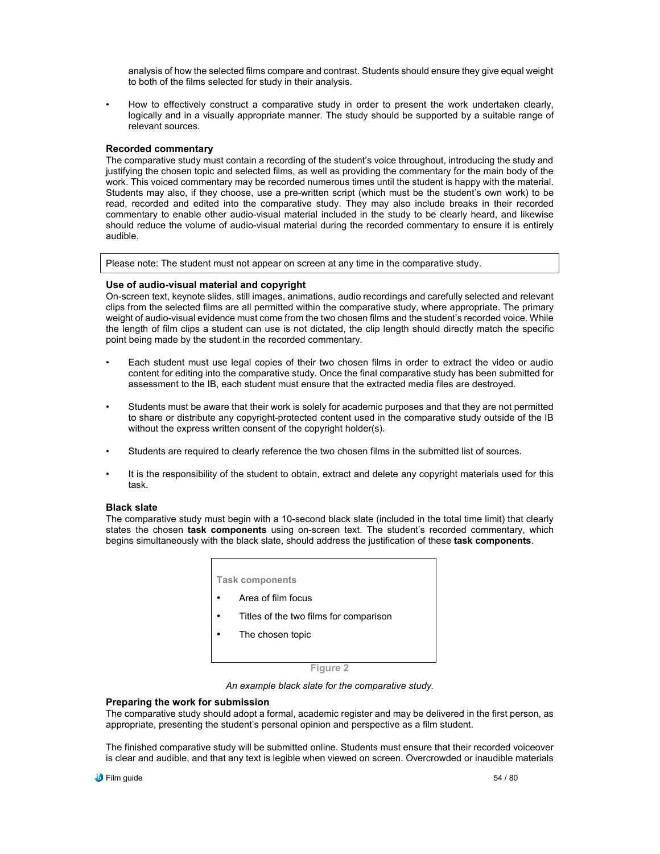analysis of how the selected films compare and contrast. Students should ensure they give equal weight to both of the films selected for study in their analysis.

• How to effectively construct a comparative study in order to present the work undertaken clearly, logically and in a visually appropriate manner. The study should be supported by a suitable range of relevant sources.

#### **Recorded commentary**

The comparative study must contain a recording of the student's voice throughout, introducing the study and justifying the chosen topic and selected films, as well as providing the commentary for the main body of the work. This voiced commentary may be recorded numerous times until the student is happy with the material. Students may also, if they choose, use a pre-written script (which must be the student's own work) to be read, recorded and edited into the comparative study. They may also include breaks in their recorded commentary to enable other audio-visual material included in the study to be clearly heard, and likewise should reduce the volume of audio-visual material during the recorded commentary to ensure it is entirely audible.

Please note: The student must not appear on screen at any time in the comparative study.

#### **Use of audio-visual material and copyright**

On-screen text, keynote slides, still images, animations, audio recordings and carefully selected and relevant clips from the selected films are all permitted within the comparative study, where appropriate. The primary weight of audio-visual evidence must come from the two chosen films and the student's recorded voice. While the length of film clips a student can use is not dictated, the clip length should directly match the specific point being made by the student in the recorded commentary.

- Each student must use legal copies of their two chosen films in order to extract the video or audio content for editing into the comparative study. Once the final comparative study has been submitted for assessment to the IB, each student must ensure that the extracted media files are destroyed.
- Students must be aware that their work is solely for academic purposes and that they are not permitted to share or distribute any copyright-protected content used in the comparative study outside of the IB without the express written consent of the copyright holder(s).
- Students are required to clearly reference the two chosen films in the submitted list of sources.
- It is the responsibility of the student to obtain, extract and delete any copyright materials used for this task.

#### **Black slate**

The comparative study must begin with a 10-second black slate (included in the total time limit) that clearly states the chosen **task components** using on-screen text. The student's recorded commentary, which begins simultaneously with the black slate, should address the justification of these **task components**.

| <b>Task components</b>                 |  |  |
|----------------------------------------|--|--|
| Area of film focus                     |  |  |
| Titles of the two films for comparison |  |  |
| The chosen topic                       |  |  |
|                                        |  |  |
|                                        |  |  |

*An example black slate for the comparative study.*

#### **Preparing the work for submission**

The comparative study should adopt a formal, academic register and may be delivered in the first person, as appropriate, presenting the student's personal opinion and perspective as a film student.

The finished comparative study will be submitted online. Students must ensure that their recorded voiceover is clear and audible, and that any text is legible when viewed on screen. Overcrowded or inaudible materials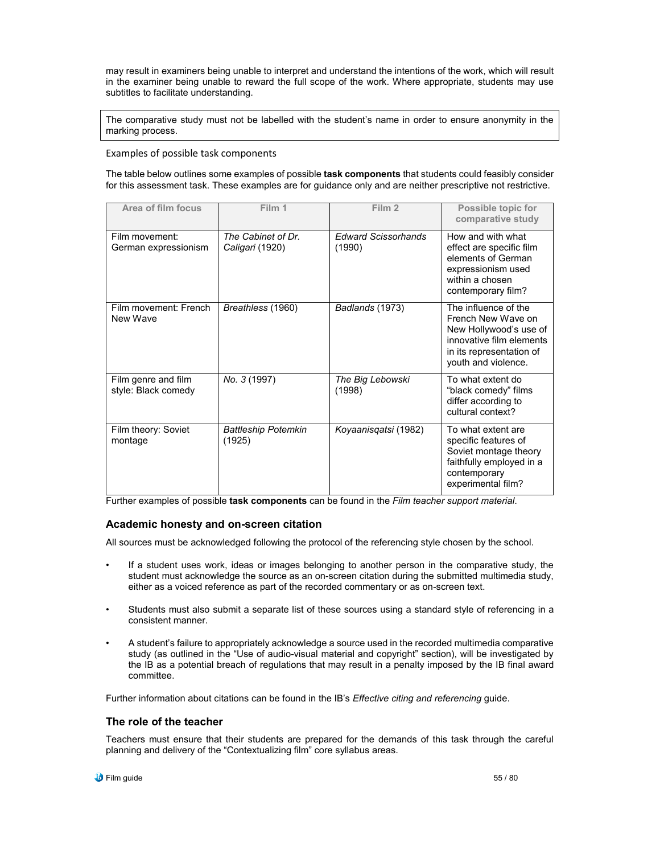may result in examiners being unable to interpret and understand the intentions of the work, which will result in the examiner being unable to reward the full scope of the work. Where appropriate, students may use subtitles to facilitate understanding.

The comparative study must not be labelled with the student's name in order to ensure anonymity in the marking process.

#### Examples of possible task components

The table below outlines some examples of possible **task components** that students could feasibly consider for this assessment task. These examples are for guidance only and are neither prescriptive not restrictive.

| Area of film focus                         | Film 1                                | Film 2                               | Possible topic for<br>comparative study                                                                                                             |
|--------------------------------------------|---------------------------------------|--------------------------------------|-----------------------------------------------------------------------------------------------------------------------------------------------------|
| Film movement:<br>German expressionism     | The Cabinet of Dr.<br>Caligari (1920) | <b>Edward Scissorhands</b><br>(1990) | How and with what<br>effect are specific film<br>elements of German<br>expressionism used<br>within a chosen<br>contemporary film?                  |
| Film movement: French<br>New Wave          | Breathless (1960)                     | Badlands (1973)                      | The influence of the<br>French New Wave on<br>New Hollywood's use of<br>innovative film elements<br>in its representation of<br>youth and violence. |
| Film genre and film<br>style: Black comedy | No. 3 (1997)                          | The Big Lebowski<br>(1998)           | To what extent do<br>"black comedy" films<br>differ according to<br>cultural context?                                                               |
| Film theory: Soviet<br>montage             | <b>Battleship Potemkin</b><br>(1925)  | Koyaanisqatsi (1982)                 | To what extent are<br>specific features of<br>Soviet montage theory<br>faithfully employed in a<br>contemporary<br>experimental film?               |

Further examples of possible **task components** can be found in the *Film teacher support material*.

#### **Academic honesty and on-screen citation**

All sources must be acknowledged following the protocol of the referencing style chosen by the school.

- If a student uses work, ideas or images belonging to another person in the comparative study, the student must acknowledge the source as an on-screen citation during the submitted multimedia study, either as a voiced reference as part of the recorded commentary or as on-screen text.
- Students must also submit a separate list of these sources using a standard style of referencing in a consistent manner.
- A student's failure to appropriately acknowledge a source used in the recorded multimedia comparative study (as outlined in the "Use of audio-visual material and copyright" section), will be investigated by the IB as a potential breach of regulations that may result in a penalty imposed by the IB final award committee.

Further information about citations can be found in the IB's *Effective citing and referencing* guide.

#### **The role of the teacher**

Teachers must ensure that their students are prepared for the demands of this task through the careful planning and delivery of the "Contextualizing film" core syllabus areas.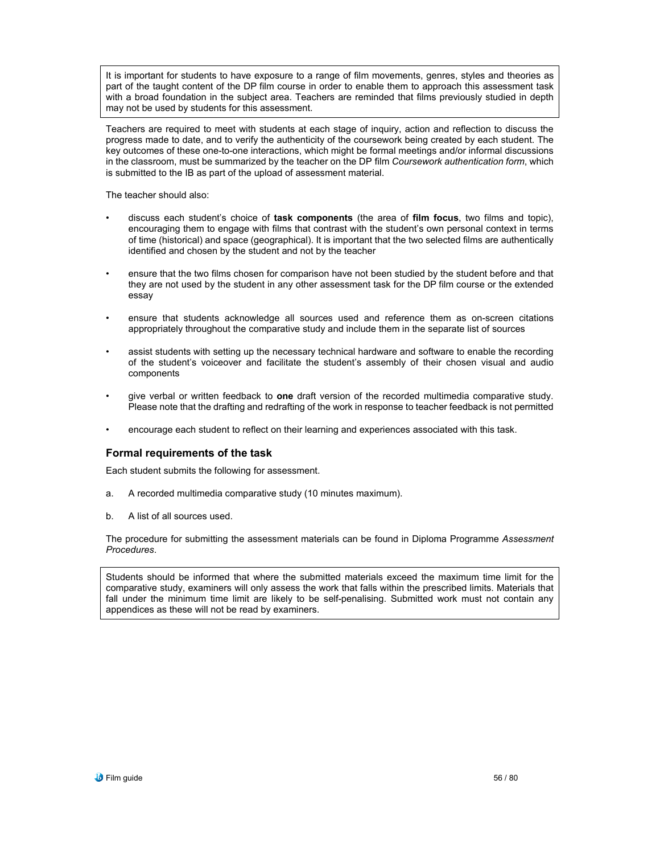It is important for students to have exposure to a range of film movements, genres, styles and theories as part of the taught content of the DP film course in order to enable them to approach this assessment task with a broad foundation in the subject area. Teachers are reminded that films previously studied in depth may not be used by students for this assessment.

Teachers are required to meet with students at each stage of inquiry, action and reflection to discuss the progress made to date, and to verify the authenticity of the coursework being created by each student. The key outcomes of these one-to-one interactions, which might be formal meetings and/or informal discussions in the classroom, must be summarized by the teacher on the DP film *Coursework authentication form*, which is submitted to the IB as part of the upload of assessment material.

The teacher should also:

- discuss each student's choice of **task components** (the area of **film focus**, two films and topic), encouraging them to engage with films that contrast with the student's own personal context in terms of time (historical) and space (geographical). It is important that the two selected films are authentically identified and chosen by the student and not by the teacher
- ensure that the two films chosen for comparison have not been studied by the student before and that they are not used by the student in any other assessment task for the DP film course or the extended essay
- ensure that students acknowledge all sources used and reference them as on-screen citations appropriately throughout the comparative study and include them in the separate list of sources
- assist students with setting up the necessary technical hardware and software to enable the recording of the student's voiceover and facilitate the student's assembly of their chosen visual and audio components
- give verbal or written feedback to **one** draft version of the recorded multimedia comparative study. Please note that the drafting and redrafting of the work in response to teacher feedback is not permitted
- encourage each student to reflect on their learning and experiences associated with this task.

#### **Formal requirements of the task**

Each student submits the following for assessment.

- a. A recorded multimedia comparative study (10 minutes maximum).
- b. A list of all sources used.

The procedure for submitting the assessment materials can be found in Diploma Programme *Assessment Procedures*.

Students should be informed that where the submitted materials exceed the maximum time limit for the comparative study, examiners will only assess the work that falls within the prescribed limits. Materials that fall under the minimum time limit are likely to be self-penalising. Submitted work must not contain any appendices as these will not be read by examiners.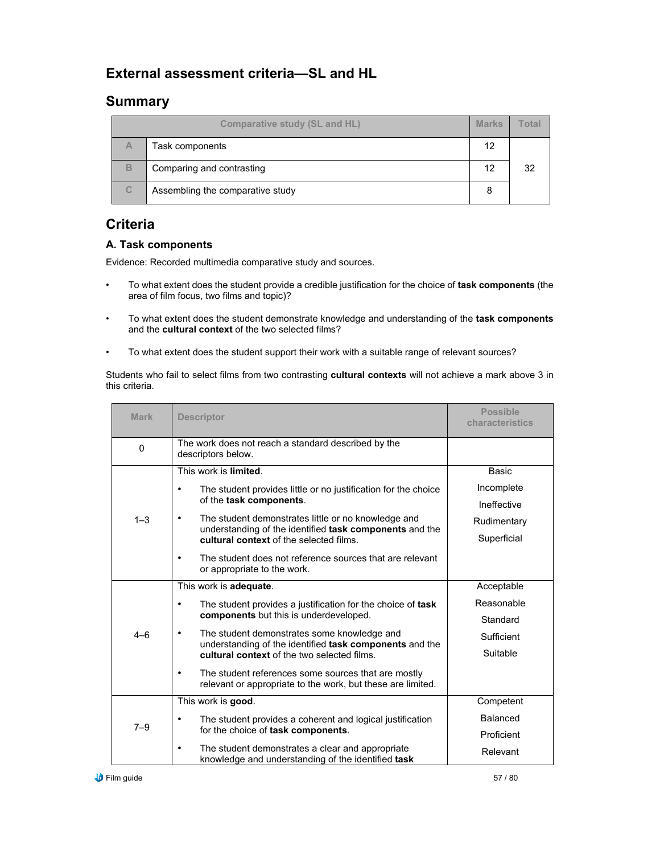# **External assessment criteria—SL and HL**

# **Summary**

| <b>Comparative study (SL and HL)</b> |                                  | <b>Marks</b> | <u>otal</u> |
|--------------------------------------|----------------------------------|--------------|-------------|
| Α                                    | Task components                  | 12           |             |
| B                                    | Comparing and contrasting        | 12           | 32          |
| $\mathsf{C}$                         | Assembling the comparative study |              |             |

# **Criteria**

### **A. Task components**

Evidence: Recorded multimedia comparative study and sources.

- To what extent does the student provide a credible justification for the choice of **task components** (the area of film focus, two films and topic)?
- To what extent does the student demonstrate knowledge and understanding of the **task components** and the **cultural context** of the two selected films?
- To what extent does the student support their work with a suitable range of relevant sources?

Students who fail to select films from two contrasting **cultural contexts** will not achieve a mark above 3 in this criteria.

| <b>Mark</b> | <b>Descriptor</b>                                                                                                           | <b>Possible</b><br>characteristics |
|-------------|-----------------------------------------------------------------------------------------------------------------------------|------------------------------------|
| 0           | The work does not reach a standard described by the<br>descriptors below.                                                   |                                    |
|             | This work is limited.                                                                                                       | <b>Basic</b>                       |
|             | The student provides little or no justification for the choice<br>$\bullet$<br>of the task components.                      | Incomplete                         |
|             |                                                                                                                             | Ineffective                        |
| $1 - 3$     | The student demonstrates little or no knowledge and<br>$\bullet$<br>understanding of the identified task components and the | Rudimentary                        |
|             | cultural context of the selected films.                                                                                     | Superficial                        |
|             | The student does not reference sources that are relevant<br>$\bullet$<br>or appropriate to the work.                        |                                    |
|             | This work is adequate.                                                                                                      | Acceptable                         |
|             | The student provides a justification for the choice of task<br>$\bullet$                                                    | Reasonable                         |
|             | components but this is underdeveloped.                                                                                      | Standard                           |
| $4 - 6$     | The student demonstrates some knowledge and<br>٠<br>understanding of the identified task components and the                 | Sufficient                         |
|             | cultural context of the two selected films.                                                                                 | Suitable                           |
|             | The student references some sources that are mostly<br>٠<br>relevant or appropriate to the work, but these are limited.     |                                    |
| $7 - 9$     | This work is good.                                                                                                          | Competent                          |
|             | The student provides a coherent and logical justification<br>$\bullet$                                                      | Balanced                           |
|             | for the choice of task components.                                                                                          | Proficient                         |
|             | The student demonstrates a clear and appropriate<br>$\bullet$<br>knowledge and understanding of the identified task         | Relevant                           |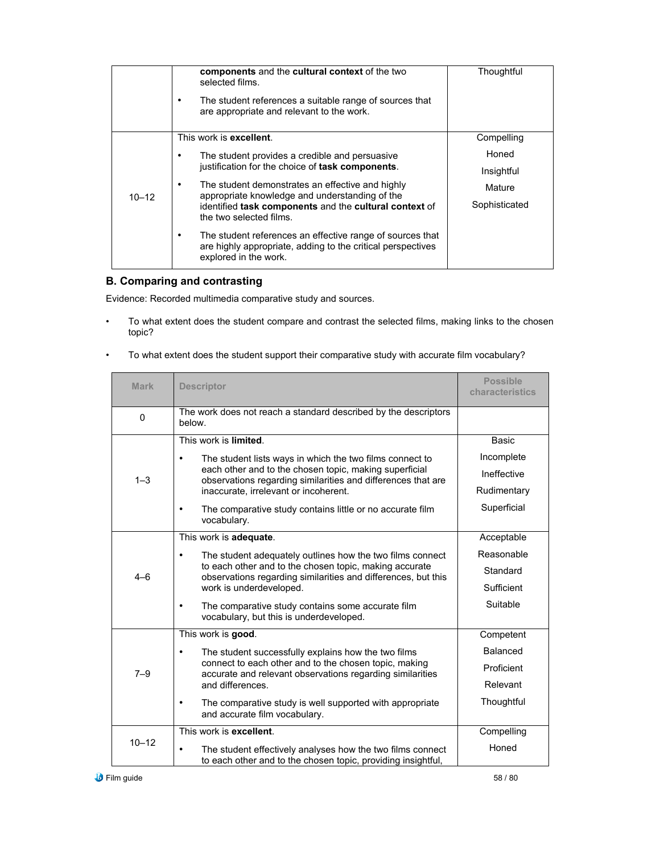|           | components and the cultural context of the two<br>selected films.<br>The student references a suitable range of sources that<br>are appropriate and relevant to the work.                                                                                                                                                                                                                     | Thoughtful                                                   |
|-----------|-----------------------------------------------------------------------------------------------------------------------------------------------------------------------------------------------------------------------------------------------------------------------------------------------------------------------------------------------------------------------------------------------|--------------------------------------------------------------|
| $10 - 12$ | This work is <b>excellent</b> .<br>The student provides a credible and persuasive<br>justification for the choice of task components.<br>The student demonstrates an effective and highly<br>appropriate knowledge and understanding of the<br>identified task components and the cultural context of<br>the two selected films.<br>The student references an effective range of sources that | Compelling<br>Honed<br>Insightful<br>Mature<br>Sophisticated |
|           | are highly appropriate, adding to the critical perspectives<br>explored in the work.                                                                                                                                                                                                                                                                                                          |                                                              |

# **B. Comparing and contrasting**

Evidence: Recorded multimedia comparative study and sources.

• To what extent does the student compare and contrast the selected films, making links to the chosen topic?

| <b>Mark</b> | <b>Descriptor</b>                                                                                                                                                                                                                        | <b>Possible</b><br>characteristics |
|-------------|------------------------------------------------------------------------------------------------------------------------------------------------------------------------------------------------------------------------------------------|------------------------------------|
| $\Omega$    | The work does not reach a standard described by the descriptors<br>helow.                                                                                                                                                                |                                    |
|             | This work is limited.                                                                                                                                                                                                                    | Basic                              |
|             | The student lists ways in which the two films connect to<br>$\bullet$<br>each other and to the chosen topic, making superficial<br>observations regarding similarities and differences that are<br>inaccurate, irrelevant or incoherent. | Incomplete                         |
| $1 - 3$     |                                                                                                                                                                                                                                          | Ineffective                        |
|             |                                                                                                                                                                                                                                          | Rudimentary                        |
|             | The comparative study contains little or no accurate film<br>٠<br>vocabulary.                                                                                                                                                            | Superficial                        |
|             | This work is adequate.                                                                                                                                                                                                                   | Acceptable                         |
|             | The student adequately outlines how the two films connect<br>٠<br>to each other and to the chosen topic, making accurate<br>observations regarding similarities and differences, but this<br>work is underdeveloped.                     | Reasonable                         |
| $4 - 6$     |                                                                                                                                                                                                                                          | Standard                           |
|             |                                                                                                                                                                                                                                          | Sufficient                         |
|             | The comparative study contains some accurate film<br>$\bullet$<br>vocabulary, but this is underdeveloped.                                                                                                                                | Suitable                           |
|             | This work is good.                                                                                                                                                                                                                       | Competent                          |
|             | The student successfully explains how the two films<br>$\bullet$                                                                                                                                                                         | <b>Balanced</b>                    |
| $7 - 9$     | connect to each other and to the chosen topic, making<br>accurate and relevant observations regarding similarities                                                                                                                       | Proficient                         |
|             | and differences.                                                                                                                                                                                                                         | Relevant                           |
|             | The comparative study is well supported with appropriate<br>$\bullet$<br>and accurate film vocabulary.                                                                                                                                   | Thoughtful                         |
| $10 - 12$   | This work is excellent.                                                                                                                                                                                                                  | Compelling                         |
|             | The student effectively analyses how the two films connect<br>$\bullet$<br>to each other and to the chosen topic, providing insightful,                                                                                                  | Honed                              |

• To what extent does the student support their comparative study with accurate film vocabulary?